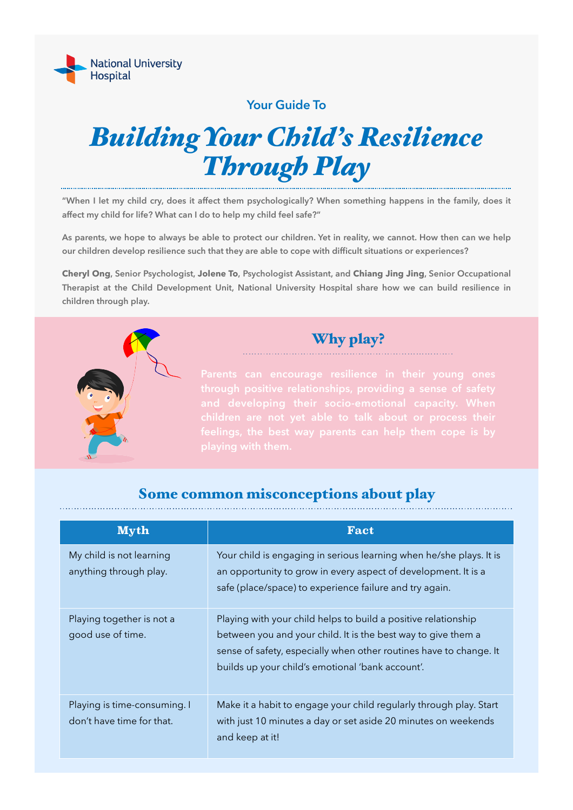

**Your Guide To** 

# *Building Your Child's Resilience Through Play*

**"When I let my child cry, does it affect them psychologically? When something happens in the family, does it affect my child for life? What can I do to help my child feel safe?"** 

**As parents, we hope to always be able to protect our children. Yet in reality, we cannot. How then can we help our children develop resilience such that they are able to cope with difficult situations or experiences?** 

**Cheryl Ong, Senior Psychologist, Jolene To, Psychologist Assistant, and Chiang Jing Jing, Senior Occupational Therapist at the Child Development Unit, National University Hospital share how we can build resilience in children through play.** 



Why play?

#### Some common misconceptions about play

| <b>Myth</b>                                               | <b>Fact</b>                                                                                                                                                                                                                                               |
|-----------------------------------------------------------|-----------------------------------------------------------------------------------------------------------------------------------------------------------------------------------------------------------------------------------------------------------|
| My child is not learning<br>anything through play.        | Your child is engaging in serious learning when he/she plays. It is<br>an opportunity to grow in every aspect of development. It is a<br>safe (place/space) to experience failure and try again.                                                          |
| Playing together is not a<br>good use of time.            | Playing with your child helps to build a positive relationship<br>between you and your child. It is the best way to give them a<br>sense of safety, especially when other routines have to change. It<br>builds up your child's emotional 'bank account'. |
| Playing is time-consuming. I<br>don't have time for that. | Make it a habit to engage your child regularly through play. Start<br>with just 10 minutes a day or set aside 20 minutes on weekends<br>and keep at it!                                                                                                   |